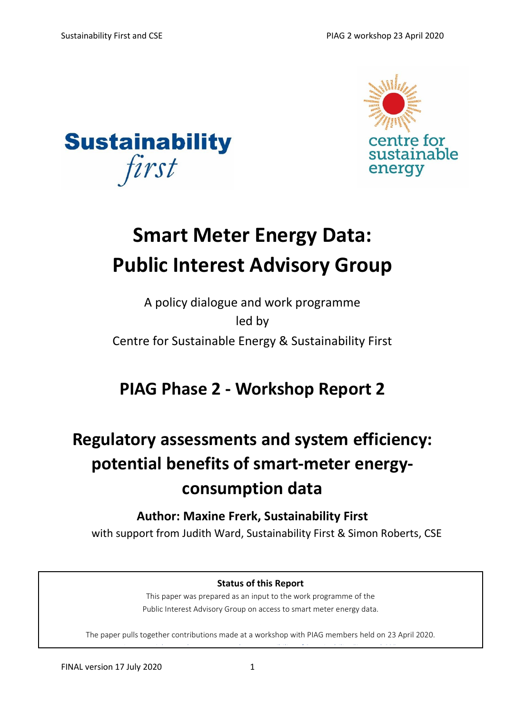



# **Smart Meter Energy Data: Public Interest Advisory Group**

## A policy dialogue and work programme led by Centre for Sustainable Energy & Sustainability First

## **PIAG Phase 2 - Workshop Report 2**

## **Regulatory assessments and system efficiency: potential benefits of smart-meter energyconsumption data**

### **Author: Maxine Frerk, Sustainability First**

with support from Judith Ward, Sustainability First & Simon Roberts, CSE

#### **Status of this Report**

This paper was prepared as an input to the work programme of the Public Interest Advisory Group on access to smart meter energy data.

The paper pulls together contributions made at a workshop with PIAG members held on 23 April 2020. Any oversight or other errors are the responsibility of Sustainability First and CSE.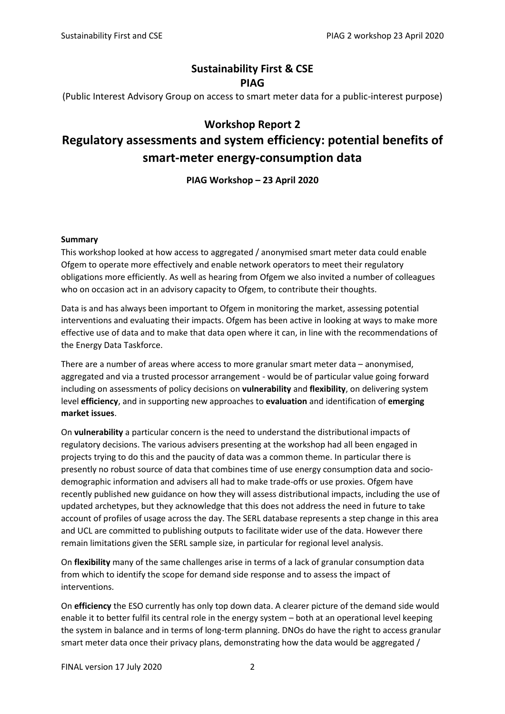#### **Sustainability First & CSE PIAG**

(Public Interest Advisory Group on access to smart meter data for a public-interest purpose)

#### **Workshop Report 2**

### **Regulatory assessments and system efficiency: potential benefits of smart-meter energy-consumption data**

**PIAG Workshop – 23 April 2020**

#### **Summary**

This workshop looked at how access to aggregated / anonymised smart meter data could enable Ofgem to operate more effectively and enable network operators to meet their regulatory obligations more efficiently. As well as hearing from Ofgem we also invited a number of colleagues who on occasion act in an advisory capacity to Ofgem, to contribute their thoughts.

Data is and has always been important to Ofgem in monitoring the market, assessing potential interventions and evaluating their impacts. Ofgem has been active in looking at ways to make more effective use of data and to make that data open where it can, in line with the recommendations of the Energy Data Taskforce.

There are a number of areas where access to more granular smart meter data – anonymised, aggregated and via a trusted processor arrangement - would be of particular value going forward including on assessments of policy decisions on **vulnerability** and **flexibility**, on delivering system level **efficiency**, and in supporting new approaches to **evaluation** and identification of **emerging market issues**.

On **vulnerability** a particular concern is the need to understand the distributional impacts of regulatory decisions. The various advisers presenting at the workshop had all been engaged in projects trying to do this and the paucity of data was a common theme. In particular there is presently no robust source of data that combines time of use energy consumption data and sociodemographic information and advisers all had to make trade-offs or use proxies. Ofgem have recently published new guidance on how they will assess distributional impacts, including the use of updated archetypes, but they acknowledge that this does not address the need in future to take account of profiles of usage across the day. The SERL database represents a step change in this area and UCL are committed to publishing outputs to facilitate wider use of the data. However there remain limitations given the SERL sample size, in particular for regional level analysis.

On **flexibility** many of the same challenges arise in terms of a lack of granular consumption data from which to identify the scope for demand side response and to assess the impact of interventions.

On **efficiency** the ESO currently has only top down data. A clearer picture of the demand side would enable it to better fulfil its central role in the energy system – both at an operational level keeping the system in balance and in terms of long-term planning. DNOs do have the right to access granular smart meter data once their privacy plans, demonstrating how the data would be aggregated /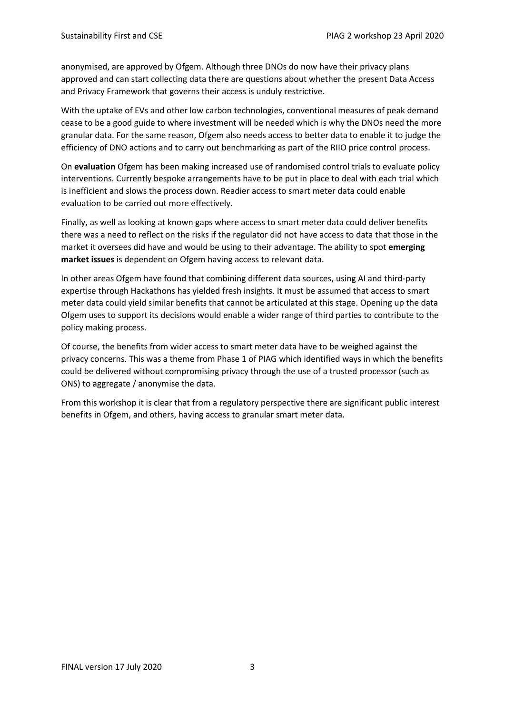anonymised, are approved by Ofgem. Although three DNOs do now have their privacy plans approved and can start collecting data there are questions about whether the present Data Access and Privacy Framework that governs their access is unduly restrictive.

With the uptake of EVs and other low carbon technologies, conventional measures of peak demand cease to be a good guide to where investment will be needed which is why the DNOs need the more granular data. For the same reason, Ofgem also needs access to better data to enable it to judge the efficiency of DNO actions and to carry out benchmarking as part of the RIIO price control process.

On **evaluation** Ofgem has been making increased use of randomised control trials to evaluate policy interventions. Currently bespoke arrangements have to be put in place to deal with each trial which is inefficient and slows the process down. Readier access to smart meter data could enable evaluation to be carried out more effectively.

Finally, as well as looking at known gaps where access to smart meter data could deliver benefits there was a need to reflect on the risks if the regulator did not have access to data that those in the market it oversees did have and would be using to their advantage. The ability to spot **emerging market issues** is dependent on Ofgem having access to relevant data.

In other areas Ofgem have found that combining different data sources, using AI and third-party expertise through Hackathons has yielded fresh insights. It must be assumed that access to smart meter data could yield similar benefits that cannot be articulated at this stage. Opening up the data Ofgem uses to support its decisions would enable a wider range of third parties to contribute to the policy making process.

Of course, the benefits from wider access to smart meter data have to be weighed against the privacy concerns. This was a theme from Phase 1 of PIAG which identified ways in which the benefits could be delivered without compromising privacy through the use of a trusted processor (such as ONS) to aggregate / anonymise the data.

From this workshop it is clear that from a regulatory perspective there are significant public interest benefits in Ofgem, and others, having access to granular smart meter data.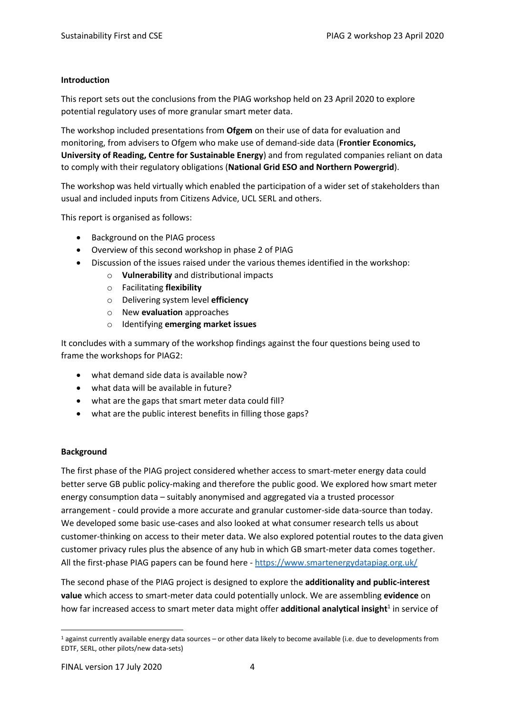#### **Introduction**

This report sets out the conclusions from the PIAG workshop held on 23 April 2020 to explore potential regulatory uses of more granular smart meter data.

The workshop included presentations from **Ofgem** on their use of data for evaluation and monitoring, from advisers to Ofgem who make use of demand-side data (**Frontier Economics, University of Reading, Centre for Sustainable Energy**) and from regulated companies reliant on data to comply with their regulatory obligations (**National Grid ESO and Northern Powergrid**).

The workshop was held virtually which enabled the participation of a wider set of stakeholders than usual and included inputs from Citizens Advice, UCL SERL and others.

This report is organised as follows:

- Background on the PIAG process
- Overview of this second workshop in phase 2 of PIAG
- Discussion of the issues raised under the various themes identified in the workshop:
	- o **Vulnerability** and distributional impacts
	- o Facilitating **flexibility**
	- o Delivering system level **efficiency**
	- o New **evaluation** approaches
	- o Identifying **emerging market issues**

It concludes with a summary of the workshop findings against the four questions being used to frame the workshops for PIAG2:

- what demand side data is available now?
- what data will be available in future?
- what are the gaps that smart meter data could fill?
- what are the public interest benefits in filling those gaps?

#### **Background**

The first phase of the PIAG project considered whether access to smart-meter energy data could better serve GB public policy-making and therefore the public good. We explored how smart meter energy consumption data – suitably anonymised and aggregated via a trusted processor arrangement - could provide a more accurate and granular customer-side data-source than today. We developed some basic use-cases and also looked at what consumer research tells us about customer-thinking on access to their meter data. We also explored potential routes to the data given customer privacy rules plus the absence of any hub in which GB smart-meter data comes together. All the first-phase PIAG papers can be found here - <https://www.smartenergydatapiag.org.uk/>

The second phase of the PIAG project is designed to explore the **additionality and public-interest value** which access to smart-meter data could potentially unlock. We are assembling **evidence** on how far increased access to smart meter data might offer additional analytical insight<sup>1</sup> in service of

<sup>1</sup> against currently available energy data sources – or other data likely to become available (i.e. due to developments from EDTF, SERL, other pilots/new data-sets)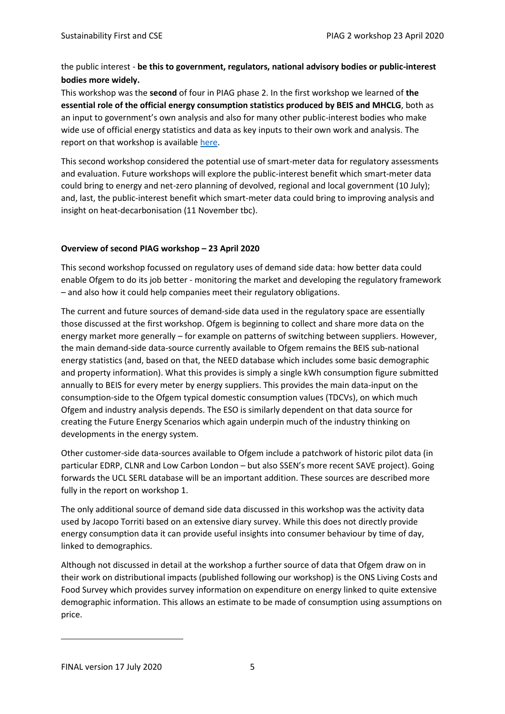#### the public interest - **be this to government, regulators, national advisory bodies or public-interest bodies more widely.**

This workshop was the **second** of four in PIAG phase 2. In the first workshop we learned of **the essential role of the official energy consumption statistics produced by BEIS and MHCLG**, both as an input to government's own analysis and also for many other public-interest bodies who make wide use of official energy statistics and data as key inputs to their own work and analysis. The report on that workshop is available [here.](https://d37809f7-dc9f-4c4f-835a-410a5acfa633.filesusr.com/ugd/ea9deb_093531e8c1b748659aa74263da4707d1.pdf)

This second workshop considered the potential use of smart-meter data for regulatory assessments and evaluation. Future workshops will explore the public-interest benefit which smart-meter data could bring to energy and net-zero planning of devolved, regional and local government (10 July); and, last, the public-interest benefit which smart-meter data could bring to improving analysis and insight on heat-decarbonisation (11 November tbc).

#### **Overview of second PIAG workshop – 23 April 2020**

This second workshop focussed on regulatory uses of demand side data: how better data could enable Ofgem to do its job better - monitoring the market and developing the regulatory framework – and also how it could help companies meet their regulatory obligations.

The current and future sources of demand-side data used in the regulatory space are essentially those discussed at the first workshop. Ofgem is beginning to collect and share more data on the energy market more generally – for example on patterns of switching between suppliers. However, the main demand-side data-source currently available to Ofgem remains the BEIS sub-national energy statistics (and, based on that, the NEED database which includes some basic demographic and property information). What this provides is simply a single kWh consumption figure submitted annually to BEIS for every meter by energy suppliers. This provides the main data-input on the consumption-side to the Ofgem typical domestic consumption values (TDCVs), on which much Ofgem and industry analysis depends. The ESO is similarly dependent on that data source for creating the Future Energy Scenarios which again underpin much of the industry thinking on developments in the energy system.

Other customer-side data-sources available to Ofgem include a patchwork of historic pilot data (in particular EDRP, CLNR and Low Carbon London – but also SSEN's more recent SAVE project). Going forwards the UCL SERL database will be an important addition. These sources are described more fully in the report on workshop 1.

The only additional source of demand side data discussed in this workshop was the activity data used by Jacopo Torriti based on an extensive diary survey. While this does not directly provide energy consumption data it can provide useful insights into consumer behaviour by time of day, linked to demographics.

Although not discussed in detail at the workshop a further source of data that Ofgem draw on in their work on distributional impacts (published following our workshop) is the ONS Living Costs and Food Survey which provides survey information on expenditure on energy linked to quite extensive demographic information. This allows an estimate to be made of consumption using assumptions on price.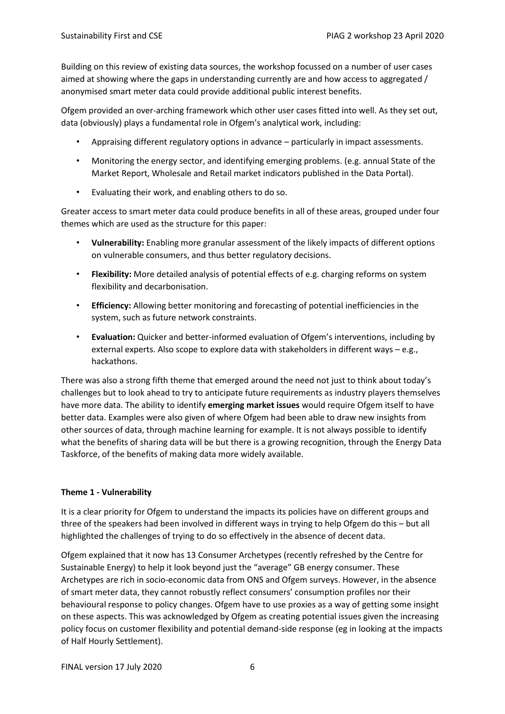Building on this review of existing data sources, the workshop focussed on a number of user cases aimed at showing where the gaps in understanding currently are and how access to aggregated / anonymised smart meter data could provide additional public interest benefits.

Ofgem provided an over-arching framework which other user cases fitted into well. As they set out, data (obviously) plays a fundamental role in Ofgem's analytical work, including:

- Appraising different regulatory options in advance particularly in impact assessments.
- Monitoring the energy sector, and identifying emerging problems. (e.g. annual State of the Market Report, Wholesale and Retail market indicators published in the Data Portal).
- Evaluating their work, and enabling others to do so.

Greater access to smart meter data could produce benefits in all of these areas, grouped under four themes which are used as the structure for this paper:

- **Vulnerability:** Enabling more granular assessment of the likely impacts of different options on vulnerable consumers, and thus better regulatory decisions.
- **Flexibility:** More detailed analysis of potential effects of e.g. charging reforms on system flexibility and decarbonisation.
- **Efficiency:** Allowing better monitoring and forecasting of potential inefficiencies in the system, such as future network constraints.
- **Evaluation:** Quicker and better-informed evaluation of Ofgem's interventions, including by external experts. Also scope to explore data with stakeholders in different ways – e.g., hackathons.

There was also a strong fifth theme that emerged around the need not just to think about today's challenges but to look ahead to try to anticipate future requirements as industry players themselves have more data. The ability to identify **emerging market issues** would require Ofgem itself to have better data. Examples were also given of where Ofgem had been able to draw new insights from other sources of data, through machine learning for example. It is not always possible to identify what the benefits of sharing data will be but there is a growing recognition, through the Energy Data Taskforce, of the benefits of making data more widely available.

#### **Theme 1 - Vulnerability**

It is a clear priority for Ofgem to understand the impacts its policies have on different groups and three of the speakers had been involved in different ways in trying to help Ofgem do this – but all highlighted the challenges of trying to do so effectively in the absence of decent data.

Ofgem explained that it now has 13 Consumer Archetypes (recently refreshed by the Centre for Sustainable Energy) to help it look beyond just the "average" GB energy consumer. These Archetypes are rich in socio-economic data from ONS and Ofgem surveys. However, in the absence of smart meter data, they cannot robustly reflect consumers' consumption profiles nor their behavioural response to policy changes. Ofgem have to use proxies as a way of getting some insight on these aspects. This was acknowledged by Ofgem as creating potential issues given the increasing policy focus on customer flexibility and potential demand-side response (eg in looking at the impacts of Half Hourly Settlement).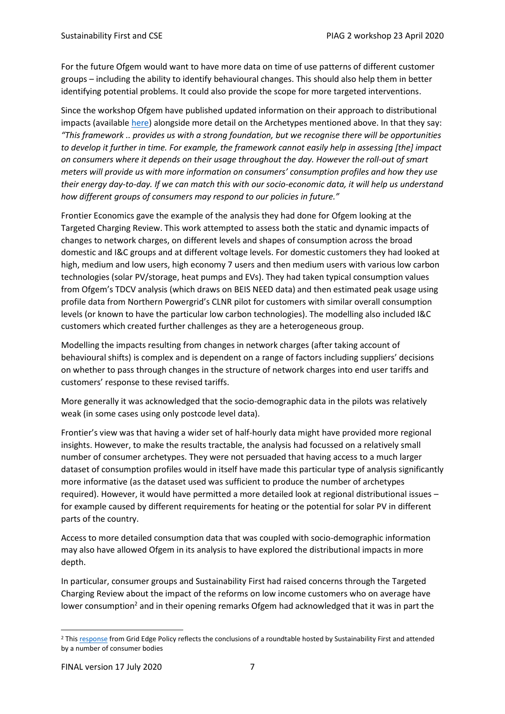For the future Ofgem would want to have more data on time of use patterns of different customer groups – including the ability to identify behavioural changes. This should also help them in better identifying potential problems. It could also provide the scope for more targeted interventions.

Since the workshop Ofgem have published updated information on their approach to distributional impacts (available [here\)](https://www.ofgem.gov.uk/ofgem-publications/162926) alongside more detail on the Archetypes mentioned above. In that they say: *"This framework .. provides us with a strong foundation, but we recognise there will be opportunities to develop it further in time. For example, the framework cannot easily help in assessing [the] impact on consumers where it depends on their usage throughout the day. However the roll-out of smart meters will provide us with more information on consumers' consumption profiles and how they use their energy day-to-day. If we can match this with our socio-economic data, it will help us understand how different groups of consumers may respond to our policies in future."*

Frontier Economics gave the example of the analysis they had done for Ofgem looking at the Targeted Charging Review. This work attempted to assess both the static and dynamic impacts of changes to network charges, on different levels and shapes of consumption across the broad domestic and I&C groups and at different voltage levels. For domestic customers they had looked at high, medium and low users, high economy 7 users and then medium users with various low carbon technologies (solar PV/storage, heat pumps and EVs). They had taken typical consumption values from Ofgem's TDCV analysis (which draws on BEIS NEED data) and then estimated peak usage using profile data from Northern Powergrid's CLNR pilot for customers with similar overall consumption levels (or known to have the particular low carbon technologies). The modelling also included I&C customers which created further challenges as they are a heterogeneous group.

Modelling the impacts resulting from changes in network charges (after taking account of behavioural shifts) is complex and is dependent on a range of factors including suppliers' decisions on whether to pass through changes in the structure of network charges into end user tariffs and customers' response to these revised tariffs.

More generally it was acknowledged that the socio-demographic data in the pilots was relatively weak (in some cases using only postcode level data).

Frontier's view was that having a wider set of half-hourly data might have provided more regional insights. However, to make the results tractable, the analysis had focussed on a relatively small number of consumer archetypes. They were not persuaded that having access to a much larger dataset of consumption profiles would in itself have made this particular type of analysis significantly more informative (as the dataset used was sufficient to produce the number of archetypes required). However, it would have permitted a more detailed look at regional distributional issues – for example caused by different requirements for heating or the potential for solar PV in different parts of the country.

Access to more detailed consumption data that was coupled with socio-demographic information may also have allowed Ofgem in its analysis to have explored the distributional impacts in more depth.

In particular, consumer groups and Sustainability First had raised concerns through the Targeted Charging Review about the impact of the reforms on low income customers who on average have lower consumption<sup>2</sup> and in their opening remarks Ofgem had acknowledged that it was in part the

<sup>&</sup>lt;sup>2</sup> This [response](https://b13f0e05-ddc3-484d-ab4f-7e31f496e1c8.filesusr.com/ugd/140d4b_d97aba68981041978c5367c405c1eca1.pdf) from Grid Edge Policy reflects the conclusions of a roundtable hosted by Sustainability First and attended by a number of consumer bodies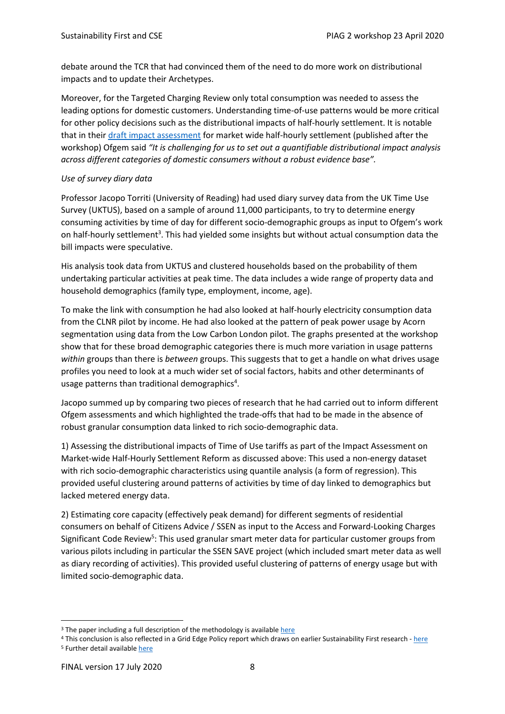debate around the TCR that had convinced them of the need to do more work on distributional impacts and to update their Archetypes.

Moreover, for the Targeted Charging Review only total consumption was needed to assess the leading options for domestic customers. Understanding time-of-use patterns would be more critical for other policy decisions such as the distributional impacts of half-hourly settlement. It is notable that in thei[r draft impact assessment](https://www.ofgem.gov.uk/system/files/docs/2020/05/mhss_draft_impact_assessment.pdf) for market wide half-hourly settlement (published after the workshop) Ofgem said *"It is challenging for us to set out a quantifiable distributional impact analysis across different categories of domestic consumers without a robust evidence base".*

#### *Use of survey diary data*

Professor Jacopo Torriti (University of Reading) had used diary survey data from the UK Time Use Survey (UKTUS), based on a sample of around 11,000 participants, to try to determine energy consuming activities by time of day for different socio-demographic groups as input to Ofgem's work on half-hourly settlement<sup>3</sup>. This had yielded some insights but without actual consumption data the bill impacts were speculative.

His analysis took data from UKTUS and clustered households based on the probability of them undertaking particular activities at peak time. The data includes a wide range of property data and household demographics (family type, employment, income, age).

To make the link with consumption he had also looked at half-hourly electricity consumption data from the CLNR pilot by income. He had also looked at the pattern of peak power usage by Acorn segmentation using data from the Low Carbon London pilot. The graphs presented at the workshop show that for these broad demographic categories there is much more variation in usage patterns *within* groups than there is *between* groups. This suggests that to get a handle on what drives usage profiles you need to look at a much wider set of social factors, habits and other determinants of usage patterns than traditional demographics<sup>4</sup>.

Jacopo summed up by comparing two pieces of research that he had carried out to inform different Ofgem assessments and which highlighted the trade-offs that had to be made in the absence of robust granular consumption data linked to rich socio-demographic data.

1) Assessing the distributional impacts of Time of Use tariffs as part of the Impact Assessment on Market-wide Half-Hourly Settlement Reform as discussed above: This used a non-energy dataset with rich socio-demographic characteristics using quantile analysis (a form of regression). This provided useful clustering around patterns of activities by time of day linked to demographics but lacked metered energy data.

2) Estimating core capacity (effectively peak demand) for different segments of residential consumers on behalf of Citizens Advice / SSEN as input to the Access and Forward-Looking Charges Significant Code Review<sup>5</sup>: This used granular smart meter data for particular customer groups from various pilots including in particular the SSEN SAVE project (which included smart meter data as well as diary recording of activities). This provided useful clustering of patterns of energy usage but with limited socio-demographic data.

<sup>&</sup>lt;sup>3</sup> The paper including a full description of the methodology is available [here](https://research.reading.ac.uk/sbe-news-and-events/wp-content/uploads/sites/122/Unorganized/Distributional_effects_of_tou-FINAL_v2.pdf)

<sup>4</sup> This conclusion is also reflected in a Grid Edge Policy report which draws on earlier Sustainability First research - [here](https://b13f0e05-ddc3-484d-ab4f-7e31f496e1c8.filesusr.com/ugd/140d4b_d49b1567f5a0477bb80505463743c867.pdf) <sup>5</sup> Further detail availabl[e here](https://www.citizensadvice.org.uk/about-us/policy/policy-research-topics/energy-policy-research-and-consultation-responses/energy-policy-research/core-network-access-core-capacity/)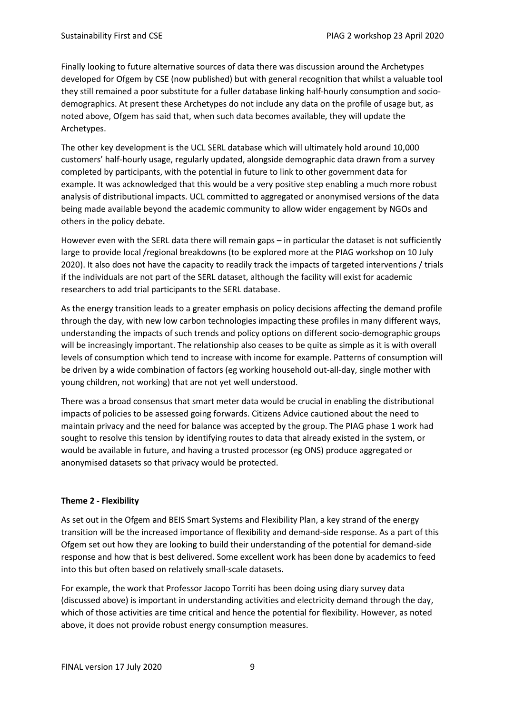Finally looking to future alternative sources of data there was discussion around the Archetypes developed for Ofgem by CSE (now published) but with general recognition that whilst a valuable tool they still remained a poor substitute for a fuller database linking half-hourly consumption and sociodemographics. At present these Archetypes do not include any data on the profile of usage but, as noted above, Ofgem has said that, when such data becomes available, they will update the Archetypes.

The other key development is the UCL SERL database which will ultimately hold around 10,000 customers' half-hourly usage, regularly updated, alongside demographic data drawn from a survey completed by participants, with the potential in future to link to other government data for example. It was acknowledged that this would be a very positive step enabling a much more robust analysis of distributional impacts. UCL committed to aggregated or anonymised versions of the data being made available beyond the academic community to allow wider engagement by NGOs and others in the policy debate.

However even with the SERL data there will remain gaps – in particular the dataset is not sufficiently large to provide local /regional breakdowns (to be explored more at the PIAG workshop on 10 July 2020). It also does not have the capacity to readily track the impacts of targeted interventions / trials if the individuals are not part of the SERL dataset, although the facility will exist for academic researchers to add trial participants to the SERL database.

As the energy transition leads to a greater emphasis on policy decisions affecting the demand profile through the day, with new low carbon technologies impacting these profiles in many different ways, understanding the impacts of such trends and policy options on different socio-demographic groups will be increasingly important. The relationship also ceases to be quite as simple as it is with overall levels of consumption which tend to increase with income for example. Patterns of consumption will be driven by a wide combination of factors (eg working household out-all-day, single mother with young children, not working) that are not yet well understood.

There was a broad consensus that smart meter data would be crucial in enabling the distributional impacts of policies to be assessed going forwards. Citizens Advice cautioned about the need to maintain privacy and the need for balance was accepted by the group. The PIAG phase 1 work had sought to resolve this tension by identifying routes to data that already existed in the system, or would be available in future, and having a trusted processor (eg ONS) produce aggregated or anonymised datasets so that privacy would be protected.

#### **Theme 2 - Flexibility**

As set out in the Ofgem and BEIS Smart Systems and Flexibility Plan, a key strand of the energy transition will be the increased importance of flexibility and demand-side response. As a part of this Ofgem set out how they are looking to build their understanding of the potential for demand-side response and how that is best delivered. Some excellent work has been done by academics to feed into this but often based on relatively small-scale datasets.

For example, the work that Professor Jacopo Torriti has been doing using diary survey data (discussed above) is important in understanding activities and electricity demand through the day, which of those activities are time critical and hence the potential for flexibility. However, as noted above, it does not provide robust energy consumption measures.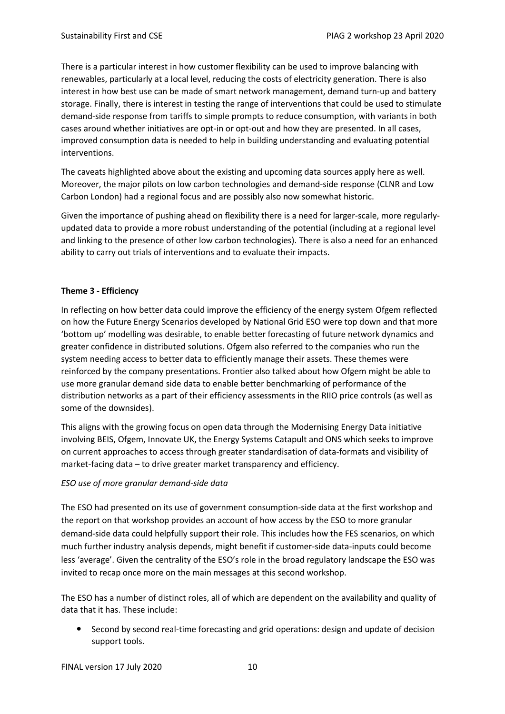There is a particular interest in how customer flexibility can be used to improve balancing with renewables, particularly at a local level, reducing the costs of electricity generation. There is also interest in how best use can be made of smart network management, demand turn-up and battery storage. Finally, there is interest in testing the range of interventions that could be used to stimulate demand-side response from tariffs to simple prompts to reduce consumption, with variants in both cases around whether initiatives are opt-in or opt-out and how they are presented. In all cases, improved consumption data is needed to help in building understanding and evaluating potential interventions.

The caveats highlighted above about the existing and upcoming data sources apply here as well. Moreover, the major pilots on low carbon technologies and demand-side response (CLNR and Low Carbon London) had a regional focus and are possibly also now somewhat historic.

Given the importance of pushing ahead on flexibility there is a need for larger-scale, more regularlyupdated data to provide a more robust understanding of the potential (including at a regional level and linking to the presence of other low carbon technologies). There is also a need for an enhanced ability to carry out trials of interventions and to evaluate their impacts.

#### **Theme 3 - Efficiency**

In reflecting on how better data could improve the efficiency of the energy system Ofgem reflected on how the Future Energy Scenarios developed by National Grid ESO were top down and that more 'bottom up' modelling was desirable, to enable better forecasting of future network dynamics and greater confidence in distributed solutions. Ofgem also referred to the companies who run the system needing access to better data to efficiently manage their assets. These themes were reinforced by the company presentations. Frontier also talked about how Ofgem might be able to use more granular demand side data to enable better benchmarking of performance of the distribution networks as a part of their efficiency assessments in the RIIO price controls (as well as some of the downsides).

This aligns with the growing focus on open data through the Modernising Energy Data initiative involving BEIS, Ofgem, Innovate UK, the Energy Systems Catapult and ONS which seeks to improve on current approaches to access through greater standardisation of data-formats and visibility of market-facing data – to drive greater market transparency and efficiency.

#### *ESO use of more granular demand-side data*

The ESO had presented on its use of government consumption-side data at the first workshop and the report on that workshop provides an account of how access by the ESO to more granular demand-side data could helpfully support their role. This includes how the FES scenarios, on which much further industry analysis depends, might benefit if customer-side data-inputs could become less 'average'. Given the centrality of the ESO's role in the broad regulatory landscape the ESO was invited to recap once more on the main messages at this second workshop.

The ESO has a number of distinct roles, all of which are dependent on the availability and quality of data that it has. These include:

 Second by second real-time forecasting and grid operations: design and update of decision support tools.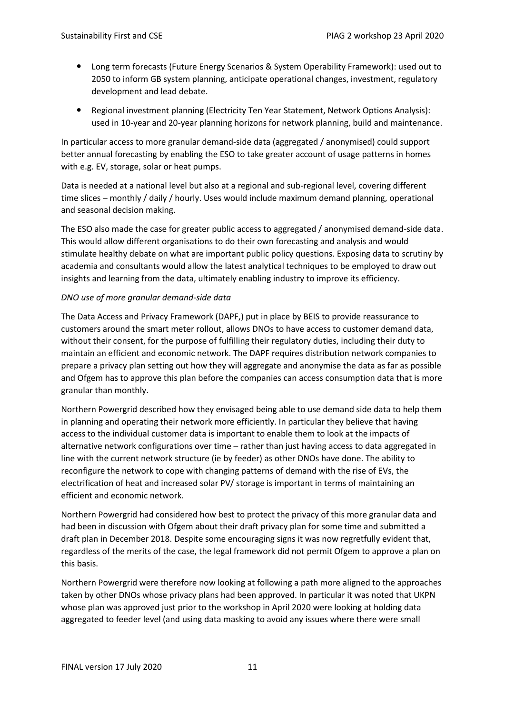- Long term forecasts (Future Energy Scenarios & System Operability Framework): used out to 2050 to inform GB system planning, anticipate operational changes, investment, regulatory development and lead debate.
- Regional investment planning (Electricity Ten Year Statement, Network Options Analysis): used in 10-year and 20-year planning horizons for network planning, build and maintenance.

In particular access to more granular demand-side data (aggregated / anonymised) could support better annual forecasting by enabling the ESO to take greater account of usage patterns in homes with e.g. EV, storage, solar or heat pumps.

Data is needed at a national level but also at a regional and sub-regional level, covering different time slices – monthly / daily / hourly. Uses would include maximum demand planning, operational and seasonal decision making.

The ESO also made the case for greater public access to aggregated / anonymised demand-side data. This would allow different organisations to do their own forecasting and analysis and would stimulate healthy debate on what are important public policy questions. Exposing data to scrutiny by academia and consultants would allow the latest analytical techniques to be employed to draw out insights and learning from the data, ultimately enabling industry to improve its efficiency.

#### *DNO use of more granular demand-side data*

The Data Access and Privacy Framework (DAPF,) put in place by BEIS to provide reassurance to customers around the smart meter rollout, allows DNOs to have access to customer demand data, without their consent, for the purpose of fulfilling their regulatory duties, including their duty to maintain an efficient and economic network. The DAPF requires distribution network companies to prepare a privacy plan setting out how they will aggregate and anonymise the data as far as possible and Ofgem has to approve this plan before the companies can access consumption data that is more granular than monthly.

Northern Powergrid described how they envisaged being able to use demand side data to help them in planning and operating their network more efficiently. In particular they believe that having access to the individual customer data is important to enable them to look at the impacts of alternative network configurations over time – rather than just having access to data aggregated in line with the current network structure (ie by feeder) as other DNOs have done. The ability to reconfigure the network to cope with changing patterns of demand with the rise of EVs, the electrification of heat and increased solar PV/ storage is important in terms of maintaining an efficient and economic network.

Northern Powergrid had considered how best to protect the privacy of this more granular data and had been in discussion with Ofgem about their draft privacy plan for some time and submitted a draft plan in December 2018. Despite some encouraging signs it was now regretfully evident that, regardless of the merits of the case, the legal framework did not permit Ofgem to approve a plan on this basis.

Northern Powergrid were therefore now looking at following a path more aligned to the approaches taken by other DNOs whose privacy plans had been approved. In particular it was noted that UKPN whose plan was approved just prior to the workshop in April 2020 were looking at holding data aggregated to feeder level (and using data masking to avoid any issues where there were small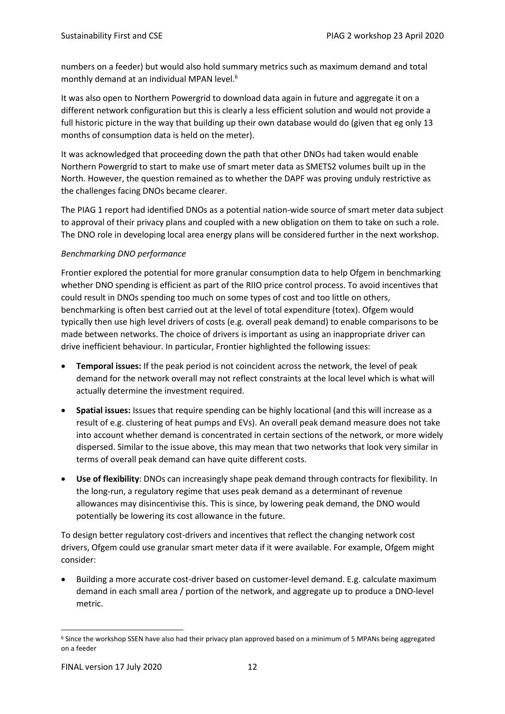numbers on a feeder) but would also hold summary metrics such as maximum demand and total monthly demand at an individual MPAN level.<sup>6</sup>

It was also open to Northern Powergrid to download data again in future and aggregate it on a different network configuration but this is clearly a less efficient solution and would not provide a full historic picture in the way that building up their own database would do (given that eg only 13 months of consumption data is held on the meter).

It was acknowledged that proceeding down the path that other DNOs had taken would enable Northern Powergrid to start to make use of smart meter data as SMETS2 volumes built up in the North. However, the question remained as to whether the DAPF was proving unduly restrictive as the challenges facing DNOs became clearer.

The PIAG 1 report had identified DNOs as a potential nation-wide source of smart meter data subject to approval of their privacy plans and coupled with a new obligation on them to take on such a role. The DNO role in developing local area energy plans will be considered further in the next workshop.

#### *Benchmarking DNO performance*

Frontier explored the potential for more granular consumption data to help Ofgem in benchmarking whether DNO spending is efficient as part of the RIIO price control process. To avoid incentives that could result in DNOs spending too much on some types of cost and too little on others, benchmarking is often best carried out at the level of total expenditure (totex). Ofgem would typically then use high level drivers of costs (e.g. overall peak demand) to enable comparisons to be made between networks. The choice of drivers is important as using an inappropriate driver can drive inefficient behaviour. In particular, Frontier highlighted the following issues:

- **Temporal issues:** If the peak period is not coincident across the network, the level of peak demand for the network overall may not reflect constraints at the local level which is what will actually determine the investment required.
- **Spatial issues:** Issues that require spending can be highly locational (and this will increase as a result of e.g. clustering of heat pumps and EVs). An overall peak demand measure does not take into account whether demand is concentrated in certain sections of the network, or more widely dispersed. Similar to the issue above, this may mean that two networks that look very similar in terms of overall peak demand can have quite different costs.
- **Use of flexibility**: DNOs can increasingly shape peak demand through contracts for flexibility. In the long-run, a regulatory regime that uses peak demand as a determinant of revenue allowances may disincentivise this. This is since, by lowering peak demand, the DNO would potentially be lowering its cost allowance in the future.

To design better regulatory cost-drivers and incentives that reflect the changing network cost drivers, Ofgem could use granular smart meter data if it were available. For example, Ofgem might consider:

• Building a more accurate cost-driver based on customer-level demand. E.g. calculate maximum demand in each small area / portion of the network, and aggregate up to produce a DNO-level metric.

<sup>6</sup> Since the workshop SSEN have also had their privacy plan approved based on a minimum of 5 MPANs being aggregated on a feeder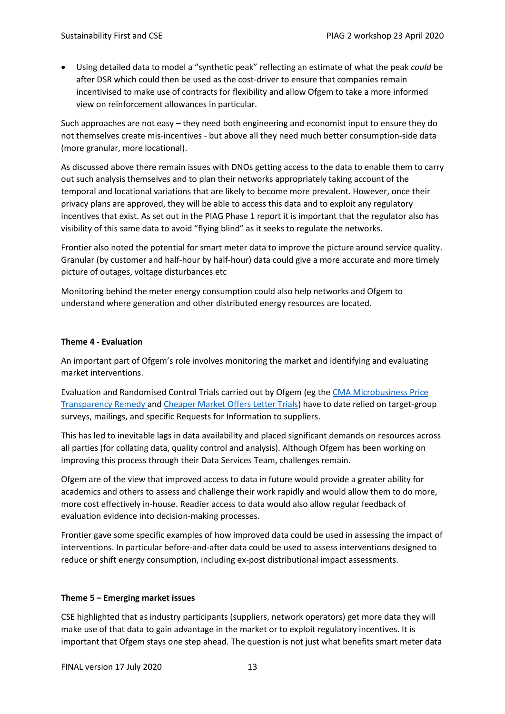• Using detailed data to model a "synthetic peak" reflecting an estimate of what the peak *could* be after DSR which could then be used as the cost-driver to ensure that companies remain incentivised to make use of contracts for flexibility and allow Ofgem to take a more informed view on reinforcement allowances in particular.

Such approaches are not easy – they need both engineering and economist input to ensure they do not themselves create mis-incentives - but above all they need much better consumption-side data (more granular, more locational).

As discussed above there remain issues with DNOs getting access to the data to enable them to carry out such analysis themselves and to plan their networks appropriately taking account of the temporal and locational variations that are likely to become more prevalent. However, once their privacy plans are approved, they will be able to access this data and to exploit any regulatory incentives that exist. As set out in the PIAG Phase 1 report it is important that the regulator also has visibility of this same data to avoid "flying blind" as it seeks to regulate the networks.

Frontier also noted the potential for smart meter data to improve the picture around service quality. Granular (by customer and half-hour by half-hour) data could give a more accurate and more timely picture of outages, voltage disturbances etc

Monitoring behind the meter energy consumption could also help networks and Ofgem to understand where generation and other distributed energy resources are located.

#### **Theme 4 - Evaluation**

An important part of Ofgem's role involves monitoring the market and identifying and evaluating market interventions.

Evaluation and Randomised Control Trials carried out by Ofgem (eg the [CMA Microbusiness Price](https://www.ofgem.gov.uk/system/files/docs/2019/05/evaluation_of_price_transparency_remedy_-_final_report_0.pdf)  [Transparency Remedy a](https://www.ofgem.gov.uk/system/files/docs/2019/05/evaluation_of_price_transparency_remedy_-_final_report_0.pdf)nd [Cheaper Market Offers Letter Trials\)](https://www.ofgem.gov.uk/publications-and-updates/results-cheaper-market-offers-letter-trial) have to date relied on target-group surveys, mailings, and specific Requests for Information to suppliers.

This has led to inevitable lags in data availability and placed significant demands on resources across all parties (for collating data, quality control and analysis). Although Ofgem has been working on improving this process through their Data Services Team, challenges remain.

Ofgem are of the view that improved access to data in future would provide a greater ability for academics and others to assess and challenge their work rapidly and would allow them to do more, more cost effectively in-house. Readier access to data would also allow regular feedback of evaluation evidence into decision-making processes.

Frontier gave some specific examples of how improved data could be used in assessing the impact of interventions. In particular before-and-after data could be used to assess interventions designed to reduce or shift energy consumption, including ex-post distributional impact assessments.

#### **Theme 5 – Emerging market issues**

CSE highlighted that as industry participants (suppliers, network operators) get more data they will make use of that data to gain advantage in the market or to exploit regulatory incentives. It is important that Ofgem stays one step ahead. The question is not just what benefits smart meter data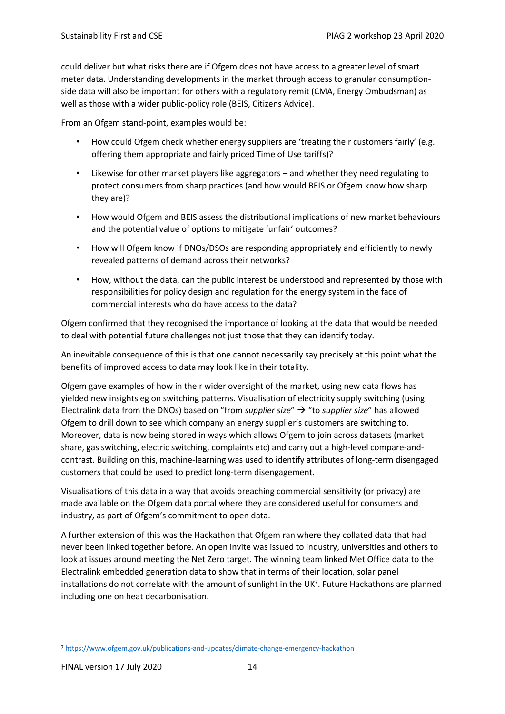could deliver but what risks there are if Ofgem does not have access to a greater level of smart meter data. Understanding developments in the market through access to granular consumptionside data will also be important for others with a regulatory remit (CMA, Energy Ombudsman) as well as those with a wider public-policy role (BEIS, Citizens Advice).

From an Ofgem stand-point, examples would be:

- How could Ofgem check whether energy suppliers are 'treating their customers fairly' (e.g. offering them appropriate and fairly priced Time of Use tariffs)?
- Likewise for other market players like aggregators and whether they need regulating to protect consumers from sharp practices (and how would BEIS or Ofgem know how sharp they are)?
- How would Ofgem and BEIS assess the distributional implications of new market behaviours and the potential value of options to mitigate 'unfair' outcomes?
- How will Ofgem know if DNOs/DSOs are responding appropriately and efficiently to newly revealed patterns of demand across their networks?
- How, without the data, can the public interest be understood and represented by those with responsibilities for policy design and regulation for the energy system in the face of commercial interests who do have access to the data?

Ofgem confirmed that they recognised the importance of looking at the data that would be needed to deal with potential future challenges not just those that they can identify today.

An inevitable consequence of this is that one cannot necessarily say precisely at this point what the benefits of improved access to data may look like in their totality.

Ofgem gave examples of how in their wider oversight of the market, using new data flows has yielded new insights eg on switching patterns. Visualisation of electricity supply switching (using Electralink data from the DNOs) based on "from *supplier size*" → "to *supplier size*" has allowed Ofgem to drill down to see which company an energy supplier's customers are switching to. Moreover, data is now being stored in ways which allows Ofgem to join across datasets (market share, gas switching, electric switching, complaints etc) and carry out a high-level compare-andcontrast. Building on this, machine-learning was used to identify attributes of long-term disengaged customers that could be used to predict long-term disengagement.

Visualisations of this data in a way that avoids breaching commercial sensitivity (or privacy) are made available on the Ofgem data portal where they are considered useful for consumers and industry, as part of Ofgem's commitment to open data.

A further extension of this was the Hackathon that Ofgem ran where they collated data that had never been linked together before. An open invite was issued to industry, universities and others to look at issues around meeting the Net Zero target. The winning team linked Met Office data to the Electralink embedded generation data to show that in terms of their location, solar panel installations do not correlate with the amount of sunlight in the UK<sup>7</sup>. Future Hackathons are planned including one on heat decarbonisation.

<sup>7</sup> <https://www.ofgem.gov.uk/publications-and-updates/climate-change-emergency-hackathon>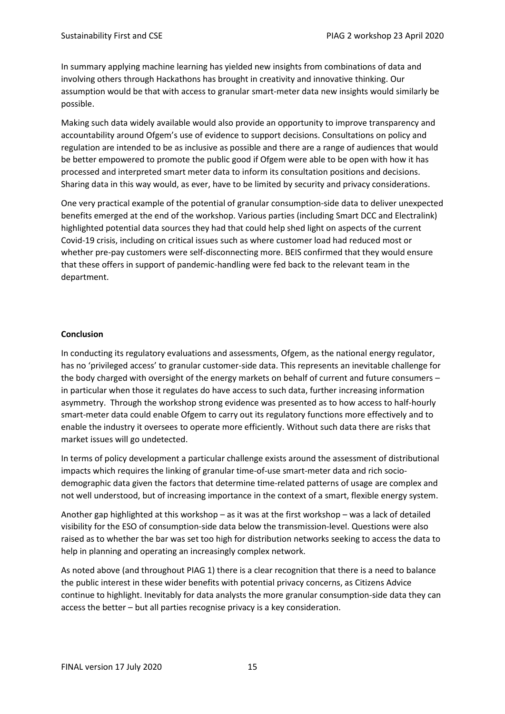In summary applying machine learning has yielded new insights from combinations of data and involving others through Hackathons has brought in creativity and innovative thinking. Our assumption would be that with access to granular smart-meter data new insights would similarly be possible.

Making such data widely available would also provide an opportunity to improve transparency and accountability around Ofgem's use of evidence to support decisions. Consultations on policy and regulation are intended to be as inclusive as possible and there are a range of audiences that would be better empowered to promote the public good if Ofgem were able to be open with how it has processed and interpreted smart meter data to inform its consultation positions and decisions. Sharing data in this way would, as ever, have to be limited by security and privacy considerations.

One very practical example of the potential of granular consumption-side data to deliver unexpected benefits emerged at the end of the workshop. Various parties (including Smart DCC and Electralink) highlighted potential data sources they had that could help shed light on aspects of the current Covid-19 crisis, including on critical issues such as where customer load had reduced most or whether pre-pay customers were self-disconnecting more. BEIS confirmed that they would ensure that these offers in support of pandemic-handling were fed back to the relevant team in the department.

#### **Conclusion**

In conducting its regulatory evaluations and assessments, Ofgem, as the national energy regulator, has no 'privileged access' to granular customer-side data. This represents an inevitable challenge for the body charged with oversight of the energy markets on behalf of current and future consumers – in particular when those it regulates do have access to such data, further increasing information asymmetry. Through the workshop strong evidence was presented as to how access to half-hourly smart-meter data could enable Ofgem to carry out its regulatory functions more effectively and to enable the industry it oversees to operate more efficiently. Without such data there are risks that market issues will go undetected.

In terms of policy development a particular challenge exists around the assessment of distributional impacts which requires the linking of granular time-of-use smart-meter data and rich sociodemographic data given the factors that determine time-related patterns of usage are complex and not well understood, but of increasing importance in the context of a smart, flexible energy system.

Another gap highlighted at this workshop – as it was at the first workshop – was a lack of detailed visibility for the ESO of consumption-side data below the transmission-level. Questions were also raised as to whether the bar was set too high for distribution networks seeking to access the data to help in planning and operating an increasingly complex network.

As noted above (and throughout PIAG 1) there is a clear recognition that there is a need to balance the public interest in these wider benefits with potential privacy concerns, as Citizens Advice continue to highlight. Inevitably for data analysts the more granular consumption-side data they can access the better – but all parties recognise privacy is a key consideration.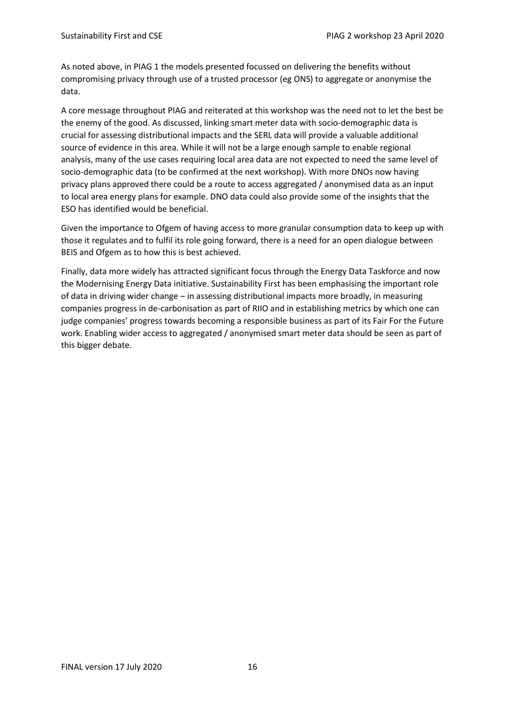As noted above, in PIAG 1 the models presented focussed on delivering the benefits without compromising privacy through use of a trusted processor (eg ONS) to aggregate or anonymise the data.

A core message throughout PIAG and reiterated at this workshop was the need not to let the best be the enemy of the good. As discussed, linking smart meter data with socio-demographic data is crucial for assessing distributional impacts and the SERL data will provide a valuable additional source of evidence in this area. While it will not be a large enough sample to enable regional analysis, many of the use cases requiring local area data are not expected to need the same level of socio-demographic data (to be confirmed at the next workshop). With more DNOs now having privacy plans approved there could be a route to access aggregated / anonymised data as an input to local area energy plans for example. DNO data could also provide some of the insights that the ESO has identified would be beneficial.

Given the importance to Ofgem of having access to more granular consumption data to keep up with those it regulates and to fulfil its role going forward, there is a need for an open dialogue between BEIS and Ofgem as to how this is best achieved.

Finally, data more widely has attracted significant focus through the Energy Data Taskforce and now the Modernising Energy Data initiative. Sustainability First has been emphasising the important role of data in driving wider change – in assessing distributional impacts more broadly, in measuring companies progress in de-carbonisation as part of RIIO and in establishing metrics by which one can judge companies' progress towards becoming a responsible business as part of its Fair For the Future work. Enabling wider access to aggregated / anonymised smart meter data should be seen as part of this bigger debate.